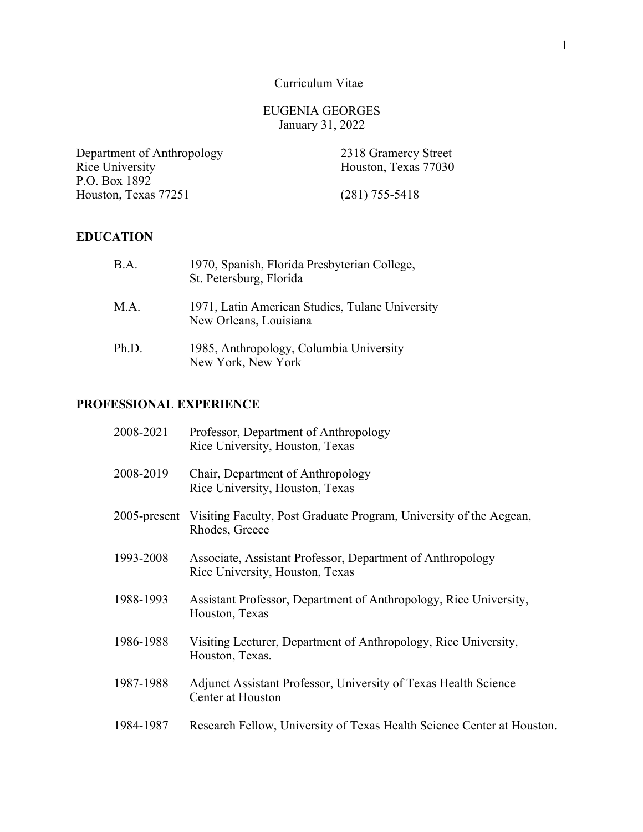Curriculum Vitae

## EUGENIA GEORGES January 31, 2022

 Department of Anthropology 2318 Gramercy Street Rice University Houston, Texas 77251 (281) 755-5418 P.O. Box 1892

Houston, Texas 77030

## **EDUCATION**

| B.A.  | 1970, Spanish, Florida Presbyterian College,<br>St. Petersburg, Florida   |
|-------|---------------------------------------------------------------------------|
| M.A.  | 1971, Latin American Studies, Tulane University<br>New Orleans, Louisiana |
| Ph.D. | 1985, Anthropology, Columbia University<br>New York, New York             |

## **PROFESSIONAL EXPERIENCE**

| 2008-2021       | Professor, Department of Anthropology<br>Rice University, Houston, Texas                      |
|-----------------|-----------------------------------------------------------------------------------------------|
| 2008-2019       | Chair, Department of Anthropology<br>Rice University, Houston, Texas                          |
| $2005$ -present | Visiting Faculty, Post Graduate Program, University of the Aegean,<br>Rhodes, Greece          |
| 1993-2008       | Associate, Assistant Professor, Department of Anthropology<br>Rice University, Houston, Texas |
| 1988-1993       | Assistant Professor, Department of Anthropology, Rice University,<br>Houston, Texas           |
| 1986-1988       | Visiting Lecturer, Department of Anthropology, Rice University,<br>Houston, Texas.            |
| 1987-1988       | Adjunct Assistant Professor, University of Texas Health Science<br>Center at Houston          |
| 1984-1987       | Research Fellow, University of Texas Health Science Center at Houston.                        |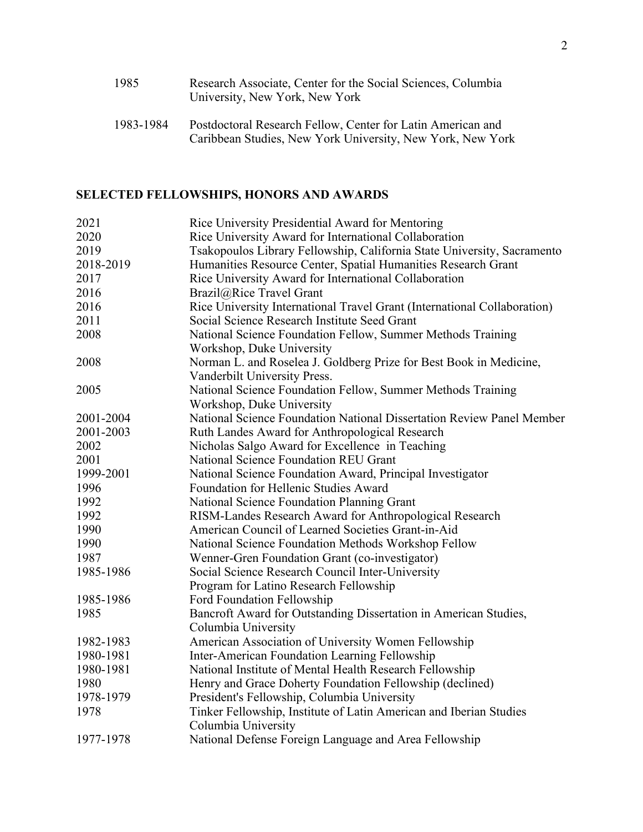| 1985      | Research Associate, Center for the Social Sciences, Columbia<br>University, New York, New York |
|-----------|------------------------------------------------------------------------------------------------|
| 1983-1984 | Postdoctoral Research Fellow, Center for Latin American and                                    |

Caribbean Studies, New York University, New York, New York

## **SELECTED FELLOWSHIPS, HONORS AND AWARDS**

| 2021      | Rice University Presidential Award for Mentoring                         |
|-----------|--------------------------------------------------------------------------|
| 2020      | Rice University Award for International Collaboration                    |
| 2019      | Tsakopoulos Library Fellowship, California State University, Sacramento  |
| 2018-2019 | Humanities Resource Center, Spatial Humanities Research Grant            |
| 2017      | Rice University Award for International Collaboration                    |
| 2016      | Brazil@Rice Travel Grant                                                 |
| 2016      | Rice University International Travel Grant (International Collaboration) |
| 2011      | Social Science Research Institute Seed Grant                             |
| 2008      | National Science Foundation Fellow, Summer Methods Training              |
|           | Workshop, Duke University                                                |
| 2008      | Norman L. and Roselea J. Goldberg Prize for Best Book in Medicine,       |
|           | Vanderbilt University Press.                                             |
| 2005      | National Science Foundation Fellow, Summer Methods Training              |
|           | Workshop, Duke University                                                |
| 2001-2004 | National Science Foundation National Dissertation Review Panel Member    |
| 2001-2003 | Ruth Landes Award for Anthropological Research                           |
| 2002      | Nicholas Salgo Award for Excellence in Teaching                          |
| 2001      | <b>National Science Foundation REU Grant</b>                             |
| 1999-2001 | National Science Foundation Award, Principal Investigator                |
| 1996      | Foundation for Hellenic Studies Award                                    |
| 1992      | National Science Foundation Planning Grant                               |
| 1992      | RISM-Landes Research Award for Anthropological Research                  |
| 1990      | American Council of Learned Societies Grant-in-Aid                       |
| 1990      | National Science Foundation Methods Workshop Fellow                      |
| 1987      | Wenner-Gren Foundation Grant (co-investigator)                           |
| 1985-1986 | Social Science Research Council Inter-University                         |
|           | Program for Latino Research Fellowship                                   |
| 1985-1986 | Ford Foundation Fellowship                                               |
| 1985      | Bancroft Award for Outstanding Dissertation in American Studies,         |
|           | Columbia University                                                      |
| 1982-1983 | American Association of University Women Fellowship                      |
| 1980-1981 | Inter-American Foundation Learning Fellowship                            |
| 1980-1981 | National Institute of Mental Health Research Fellowship                  |
| 1980      | Henry and Grace Doherty Foundation Fellowship (declined)                 |
| 1978-1979 | President's Fellowship, Columbia University                              |
| 1978      | Tinker Fellowship, Institute of Latin American and Iberian Studies       |
|           | Columbia University                                                      |
| 1977-1978 | National Defense Foreign Language and Area Fellowship                    |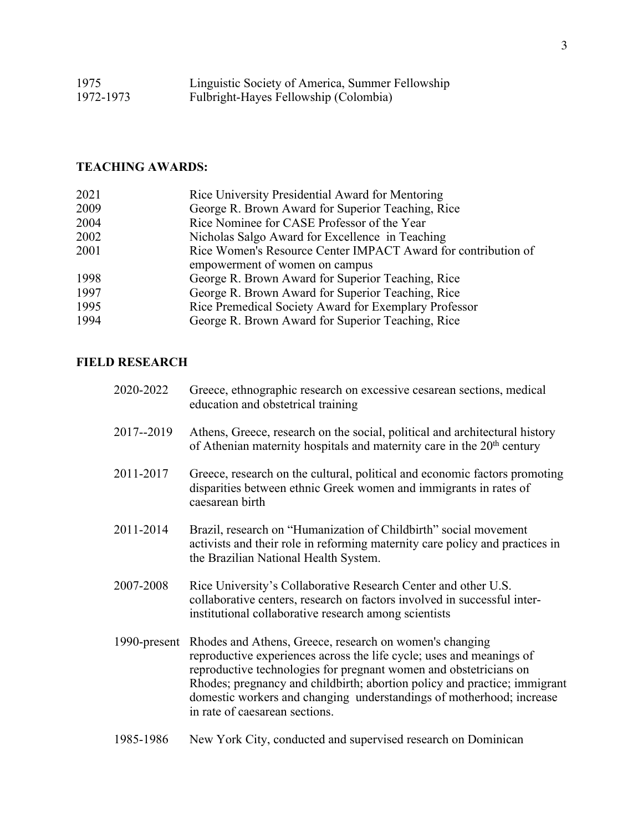| 1975      | Linguistic Society of America, Summer Fellowship |
|-----------|--------------------------------------------------|
| 1972-1973 | Fulbright-Hayes Fellowship (Colombia)            |

# **TEACHING AWARDS:**

| 2021 | Rice University Presidential Award for Mentoring              |
|------|---------------------------------------------------------------|
| 2009 | George R. Brown Award for Superior Teaching, Rice             |
| 2004 | Rice Nominee for CASE Professor of the Year                   |
| 2002 | Nicholas Salgo Award for Excellence in Teaching               |
| 2001 | Rice Women's Resource Center IMPACT Award for contribution of |
|      | empowerment of women on campus                                |
| 1998 | George R. Brown Award for Superior Teaching, Rice             |
| 1997 | George R. Brown Award for Superior Teaching, Rice             |
| 1995 | Rice Premedical Society Award for Exemplary Professor         |
| 1994 | George R. Brown Award for Superior Teaching, Rice             |

## **FIELD RESEARCH**

| 2020-2022    | Greece, ethnographic research on excessive cesarean sections, medical<br>education and obstetrical training                                                                                                                                                                                                                                                                                 |
|--------------|---------------------------------------------------------------------------------------------------------------------------------------------------------------------------------------------------------------------------------------------------------------------------------------------------------------------------------------------------------------------------------------------|
| 2017--2019   | Athens, Greece, research on the social, political and architectural history<br>of Athenian maternity hospitals and maternity care in the $20th$ century                                                                                                                                                                                                                                     |
| 2011-2017    | Greece, research on the cultural, political and economic factors promoting<br>disparities between ethnic Greek women and immigrants in rates of<br>caesarean birth                                                                                                                                                                                                                          |
| 2011-2014    | Brazil, research on "Humanization of Childbirth" social movement<br>activists and their role in reforming maternity care policy and practices in<br>the Brazilian National Health System.                                                                                                                                                                                                   |
| 2007-2008    | Rice University's Collaborative Research Center and other U.S.<br>collaborative centers, research on factors involved in successful inter-<br>institutional collaborative research among scientists                                                                                                                                                                                         |
| 1990-present | Rhodes and Athens, Greece, research on women's changing<br>reproductive experiences across the life cycle; uses and meanings of<br>reproductive technologies for pregnant women and obstetricians on<br>Rhodes; pregnancy and childbirth; abortion policy and practice; immigrant<br>domestic workers and changing understandings of motherhood; increase<br>in rate of caesarean sections. |
| 1985-1986    | New York City, conducted and supervised research on Dominican                                                                                                                                                                                                                                                                                                                               |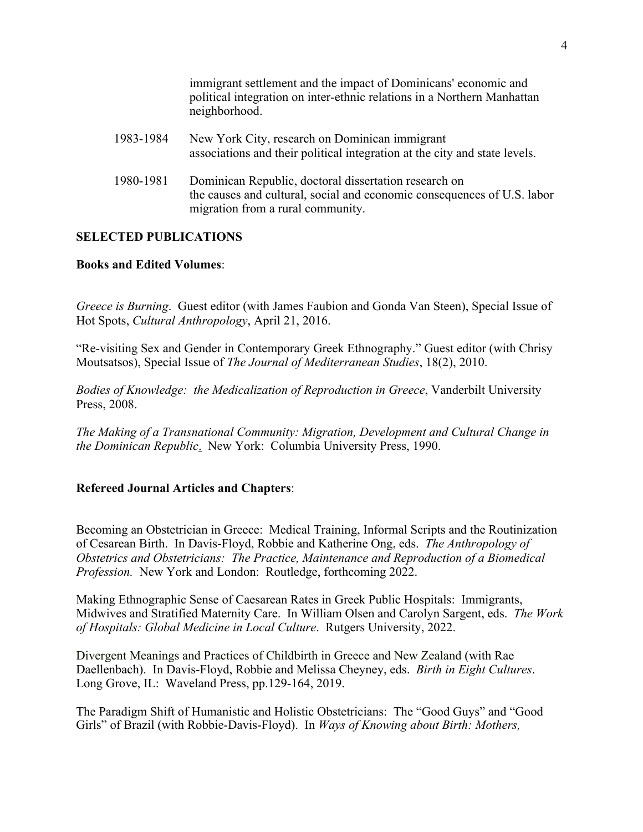immigrant settlement and the impact of Dominicans' economic and political integration on inter-ethnic relations in a Northern Manhattan neighborhood.

| 1983-1984 | New York City, research on Dominican immigrant<br>associations and their political integration at the city and state levels.                                          |
|-----------|-----------------------------------------------------------------------------------------------------------------------------------------------------------------------|
| 1980-1981 | Dominican Republic, doctoral dissertation research on<br>the causes and cultural, social and economic consequences of U.S. labor<br>migration from a rural community. |

## **SELECTED PUBLICATIONS**

## **Books and Edited Volumes**:

 Hot Spots, *Cultural Anthropology*, April 21, 2016. *Greece is Burning*. Guest editor (with James Faubion and Gonda Van Steen), Special Issue of

"Re-visiting Sex and Gender in Contemporary Greek Ethnography." Guest editor (with Chrisy Moutsatsos), Special Issue of *The Journal of Mediterranean Studies*, 18(2), 2010.

*Bodies of Knowledge: the Medicalization of Reproduction in Greece*, Vanderbilt University Press, 2008.

 *the Dominican Republic*. New York: Columbia University Press, 1990. *The Making of a Transnational Community: Migration, Development and Cultural Change in* 

## **Refereed Journal Articles and Chapters**:

 *Profession.* New York and London: Routledge, forthcoming 2022. Becoming an Obstetrician in Greece: Medical Training, Informal Scripts and the Routinization of Cesarean Birth. In Davis-Floyd, Robbie and Katherine Ong, eds. *The Anthropology of Obstetrics and Obstetricians: The Practice, Maintenance and Reproduction of a Biomedical* 

Making Ethnographic Sense of Caesarean Rates in Greek Public Hospitals: Immigrants, Midwives and Stratified Maternity Care. In William Olsen and Carolyn Sargent, eds. *The Work of Hospitals: Global Medicine in Local Culture*. Rutgers University, 2022.

 Daellenbach). In Davis-Floyd, Robbie and Melissa Cheyney, eds. *Birth in Eight Cultures*. Divergent Meanings and Practices of Childbirth in Greece and New Zealand (with Rae Long Grove, IL: Waveland Press, pp.129-164, 2019.

The Paradigm Shift of Humanistic and Holistic Obstetricians: The "Good Guys" and "Good Girls" of Brazil (with Robbie-Davis-Floyd). In *Ways of Knowing about Birth: Mothers,*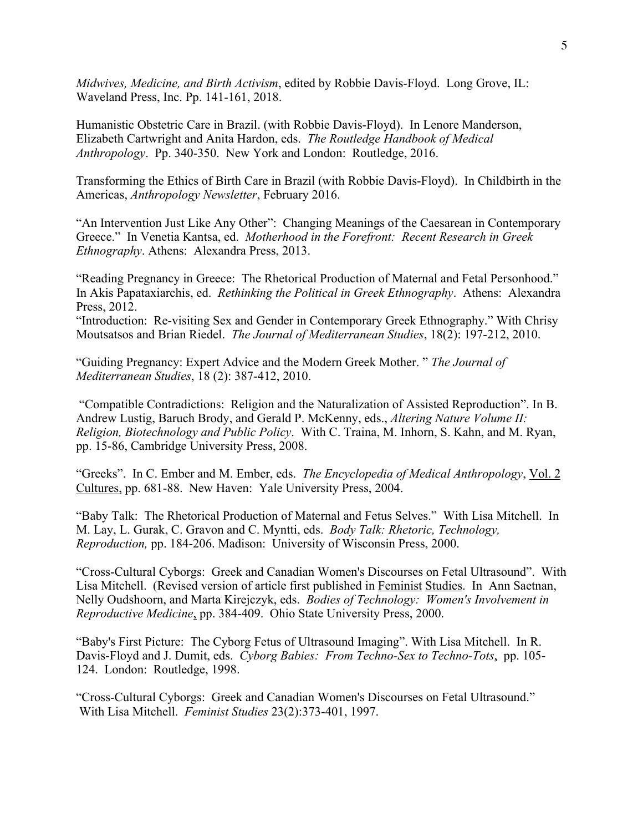*Midwives, Medicine, and Birth Activism*, edited by Robbie Davis-Floyd. Long Grove, IL: Waveland Press, Inc. Pp. 141-161, 2018.

 Humanistic Obstetric Care in Brazil. (with Robbie Davis-Floyd). In Lenore Manderson, *Anthropology*. Pp. 340-350. New York and London: Routledge, 2016. Elizabeth Cartwright and Anita Hardon, eds. *The Routledge Handbook of Medical* 

 Transforming the Ethics of Birth Care in Brazil (with Robbie Davis-Floyd). In Childbirth in the Americas, *Anthropology Newsletter*, February 2016.

 *Ethnography*. Athens: Alexandra Press, 2013. "An Intervention Just Like Any Other": Changing Meanings of the Caesarean in Contemporary Greece." In Venetia Kantsa, ed. *Motherhood in the Forefront: Recent Research in Greek* 

"Reading Pregnancy in Greece: The Rhetorical Production of Maternal and Fetal Personhood." "Reading Pregnancy in Greece: The Rhetorical Production of Maternal and Fetal Personhood."<br>In Akis Papataxiarchis, ed. *Rethinking the Political in Greek Ethnography*. Athens: Alexandra Press, 2012.

"Introduction: Re-visiting Sex and Gender in Contemporary Greek Ethnography." With Chrisy Moutsatsos and Brian Riedel. *The Journal of Mediterranean Studies*, 18(2): 197-212, 2010.

"Guiding Pregnancy: Expert Advice and the Modern Greek Mother. " *The Journal of Mediterranean Studies*, 18 (2): 387-412, 2010.

"Compatible Contradictions: Religion and the Naturalization of Assisted Reproduction". In B. Andrew Lustig, Baruch Brody, and Gerald P. McKenny, eds., *Altering Nature Volume II: Religion, Biotechnology and Public Policy*. With C. Traina, M. Inhorn, S. Kahn, and M. Ryan, pp. 15-86, Cambridge University Press, 2008.

"Greeks". In C. Ember and M. Ember, eds. *The Encyclopedia of Medical Anthropology*, Vol. 2 Cultures, pp. 681-88. New Haven: Yale University Press, 2004.

"Baby Talk: The Rhetorical Production of Maternal and Fetus Selves." With Lisa Mitchell. In M. Lay, L. Gurak, C. Gravon and C. Myntti, eds. *Body Talk: Rhetoric, Technology, Reproduction,* pp. 184-206. Madison: University of Wisconsin Press, 2000.

"Cross-Cultural Cyborgs: Greek and Canadian Women's Discourses on Fetal Ultrasound". With Lisa Mitchell. (Revised version of article first published in Feminist Studies. In Ann Saetnan, Nelly Oudshoorn, and Marta Kirejczyk, eds. *Bodies of Technology: Women's Involvement in Reproductive Medicine*, pp. 384-409. Ohio State University Press, 2000.

 Davis-Floyd and J. Dumit, eds. *Cyborg Babies: From Techno-Sex to Techno-Tots*, pp. 105- "Baby's First Picture: The Cyborg Fetus of Ultrasound Imaging". With Lisa Mitchell. In R. 124. London: Routledge, 1998.

"Cross-Cultural Cyborgs: Greek and Canadian Women's Discourses on Fetal Ultrasound." With Lisa Mitchell. *Feminist Studies* 23(2):373-401, 1997.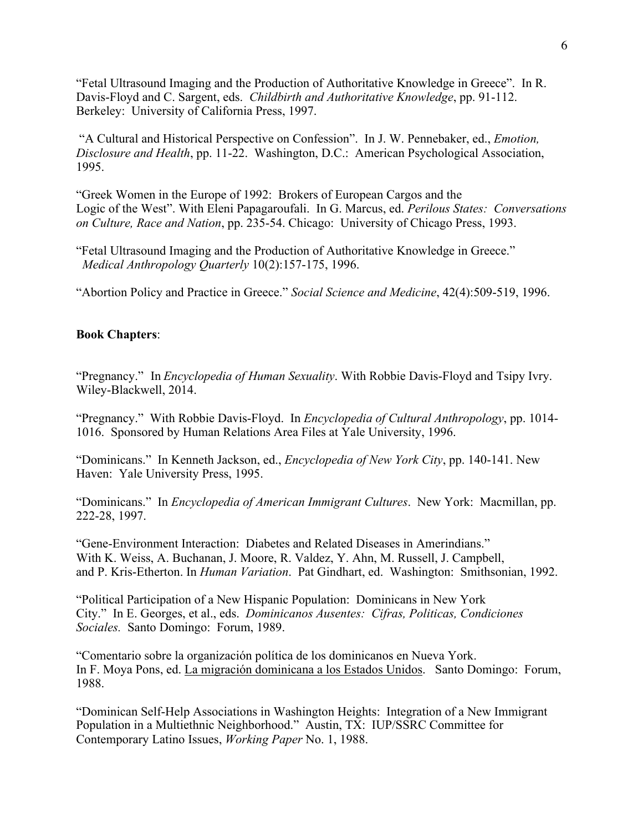"Fetal Ultrasound Imaging and the Production of Authoritative Knowledge in Greece". In R. Davis-Floyd and C. Sargent, eds. *Childbirth and Authoritative Knowledge*, pp. 91-112. Berkeley: University of California Press, 1997.

"A Cultural and Historical Perspective on Confession". In J. W. Pennebaker, ed., *Emotion, Disclosure and Health*, pp. 11-22. Washington, D.C.: American Psychological Association, 1995.

"Greek Women in the Europe of 1992: Brokers of European Cargos and the Logic of the West". With Eleni Papagaroufali. In G. Marcus, ed. *Perilous States: Conversations on Culture, Race and Nation*, pp. 235-54. Chicago: University of Chicago Press, 1993.

"Fetal Ultrasound Imaging and the Production of Authoritative Knowledge in Greece." *Medical Anthropology Quarterly* 10(2):157-175, 1996.

"Abortion Policy and Practice in Greece." *Social Science and Medicine*, 42(4):509-519, 1996.

### **Book Chapters**:

"Pregnancy." In *Encyclopedia of Human Sexuality*. With Robbie Davis-Floyd and Tsipy Ivry. Wiley-Blackwell, 2014.

 "Pregnancy." With Robbie Davis-Floyd. In *Encyclopedia of Cultural Anthropology*, pp. 1014- 1016. Sponsored by Human Relations Area Files at Yale University, 1996.

 "Dominicans." In Kenneth Jackson, ed., *Encyclopedia of New York City*, pp. 140-141. New Haven: Yale University Press, 1995.

 "Dominicans." In *Encyclopedia of American Immigrant Cultures*. New York: Macmillan, pp. 222-28, 1997.

"Gene-Environment Interaction: Diabetes and Related Diseases in Amerindians." With K. Weiss, A. Buchanan, J. Moore, R. Valdez, Y. Ahn, M. Russell, J. Campbell, and P. Kris-Etherton. In *Human Variation*. Pat Gindhart, ed. Washington: Smithsonian, 1992.

 *Sociales.* Santo Domingo: Forum, 1989. "Political Participation of a New Hispanic Population: Dominicans in New York City." In E. Georges, et al., eds. *Dominicanos Ausentes: Cifras, Politicas, Condiciones* 

"Comentario sobre la organización política de los dominicanos en Nueva York. In F. Moya Pons, ed. La migración dominicana a los Estados Unidos. Santo Domingo: Forum, 1988.

 Contemporary Latino Issues, *Working Paper* No. 1, 1988. "Dominican Self-Help Associations in Washington Heights: Integration of a New Immigrant Population in a Multiethnic Neighborhood." Austin, TX: IUP/SSRC Committee for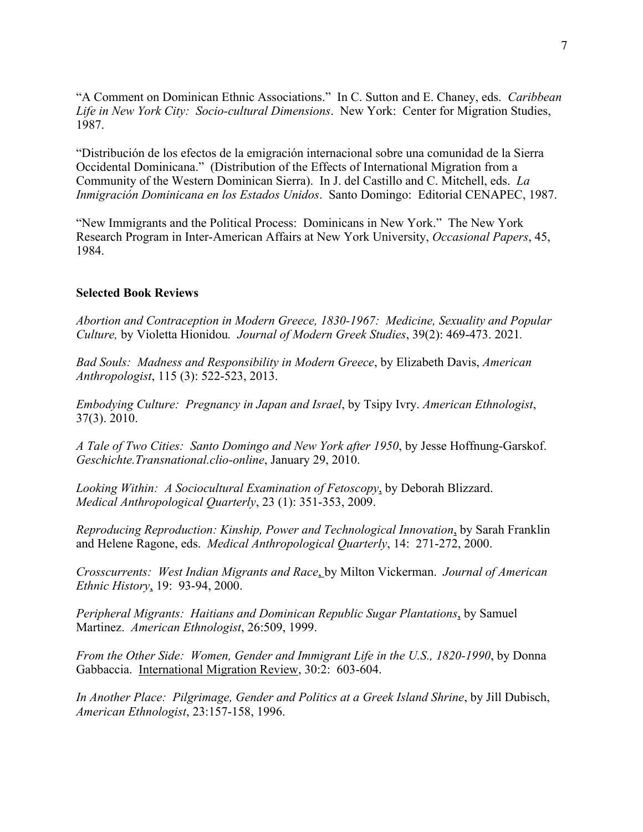"A Comment on Dominican Ethnic Associations." In C. Sutton and E. Chaney, eds. *Caribbean Life in New York City: Socio-cultural Dimensions*. New York: Center for Migration Studies, 1987.

"Distribución de los efectos de la emigración internacional sobre una comunidad de la Sierra Occidental Dominicana." (Distribution of the Effects of International Migration from a Community of the Western Dominican Sierra). In J. del Castillo and C. Mitchell, eds. *La Inmigración Dominicana en los Estados Unidos*. Santo Domingo: Editorial CENAPEC, 1987.

"New Immigrants and the Political Process: Dominicans in New York." The New York Research Program in Inter-American Affairs at New York University, *Occasional Papers*, 45, 1984.

### **Selected Book Reviews**

 *Culture,* by Violetta Hionidou*. Journal of Modern Greek Studies*, 39(2): 469-473. 2021*. Abortion and Contraception in Modern Greece, 1830-1967: Medicine, Sexuality and Popular* 

*Bad Souls: Madness and Responsibility in Modern Greece*, by Elizabeth Davis, *American Anthropologist*, 115 (3): 522-523, 2013.

*Embodying Culture: Pregnancy in Japan and Israel*, by Tsipy Ivry. *American Ethnologist*, 37(3). 2010.

*A Tale of Two Cities: Santo Domingo and New York after 1950*, by Jesse Hoffnung-Garskof. *Geschichte.Transnational.clio-online*, January 29, 2010.

*Looking Within: A Sociocultural Examination of Fetoscopy*, by Deborah Blizzard. *Medical Anthropological Quarterly*, 23 (1): 351-353, 2009.

*Reproducing Reproduction: Kinship, Power and Technological Innovation*, by Sarah Franklin and Helene Ragone, eds. *Medical Anthropological Quarterly*, 14: 271-272, 2000.

*Crosscurrents: West Indian Migrants and Race*, by Milton Vickerman. *Journal of American Ethnic History*, 19: 93-94, 2000.

 *Peripheral Migrants: Haitians and Dominican Republic Sugar Plantations*, by Samuel Martinez. *American Ethnologist*, 26:509, 1999.

*From the Other Side: Women, Gender and Immigrant Life in the U.S., 1820-1990*, by Donna Gabbaccia. International Migration Review, 30:2: 603-604.

 *In Another Place: Pilgrimage, Gender and Politics at a Greek Island Shrine*, by Jill Dubisch, *American Ethnologist*, 23:157-158, 1996.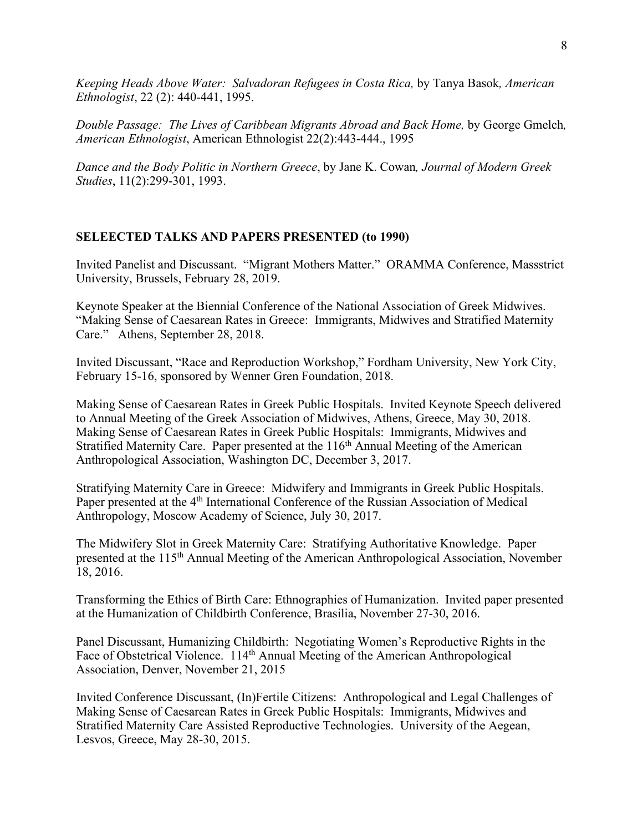*Keeping Heads Above Water: Salvadoran Refugees in Costa Rica,* by Tanya Basok*, American Ethnologist*, 22 (2): 440-441, 1995.

*Double Passage: The Lives of Caribbean Migrants Abroad and Back Home,* by George Gmelch*, American Ethnologist*, American Ethnologist 22(2):443-444., 1995

*Dance and the Body Politic in Northern Greece*, by Jane K. Cowan*, Journal of Modern Greek Studies*, 11(2):299-301, 1993.

## **SELEECTED TALKS AND PAPERS PRESENTED (to 1990)**

 Invited Panelist and Discussant. "Migrant Mothers Matter." ORAMMA Conference, Massstrict University, Brussels, February 28, 2019.

Keynote Speaker at the Biennial Conference of the National Association of Greek Midwives. "Making Sense of Caesarean Rates in Greece: Immigrants, Midwives and Stratified Maternity Care." Athens, September 28, 2018.

Invited Discussant, "Race and Reproduction Workshop," Fordham University, New York City, February 15-16, sponsored by Wenner Gren Foundation, 2018.

Making Sense of Caesarean Rates in Greek Public Hospitals. Invited Keynote Speech delivered to Annual Meeting of the Greek Association of Midwives, Athens, Greece, May 30, 2018. Making Sense of Caesarean Rates in Greek Public Hospitals: Immigrants, Midwives and Stratified Maternity Care. Paper presented at the  $116<sup>th</sup>$  Annual Meeting of the American Anthropological Association, Washington DC, December 3, 2017.

Stratifying Maternity Care in Greece: Midwifery and Immigrants in Greek Public Hospitals. Paper presented at the 4<sup>th</sup> International Conference of the Russian Association of Medical Anthropology, Moscow Academy of Science, July 30, 2017.

The Midwifery Slot in Greek Maternity Care: Stratifying Authoritative Knowledge. Paper presented at the 115th Annual Meeting of the American Anthropological Association, November 18, 2016.

Transforming the Ethics of Birth Care: Ethnographies of Humanization. Invited paper presented at the Humanization of Childbirth Conference, Brasilia, November 27-30, 2016.

Panel Discussant, Humanizing Childbirth: Negotiating Women's Reproductive Rights in the Face of Obstetrical Violence. 114<sup>th</sup> Annual Meeting of the American Anthropological Association, Denver, November 21, 2015

Invited Conference Discussant, (In)Fertile Citizens: Anthropological and Legal Challenges of Making Sense of Caesarean Rates in Greek Public Hospitals: Immigrants, Midwives and Stratified Maternity Care Assisted Reproductive Technologies. University of the Aegean, Lesvos, Greece, May 28-30, 2015.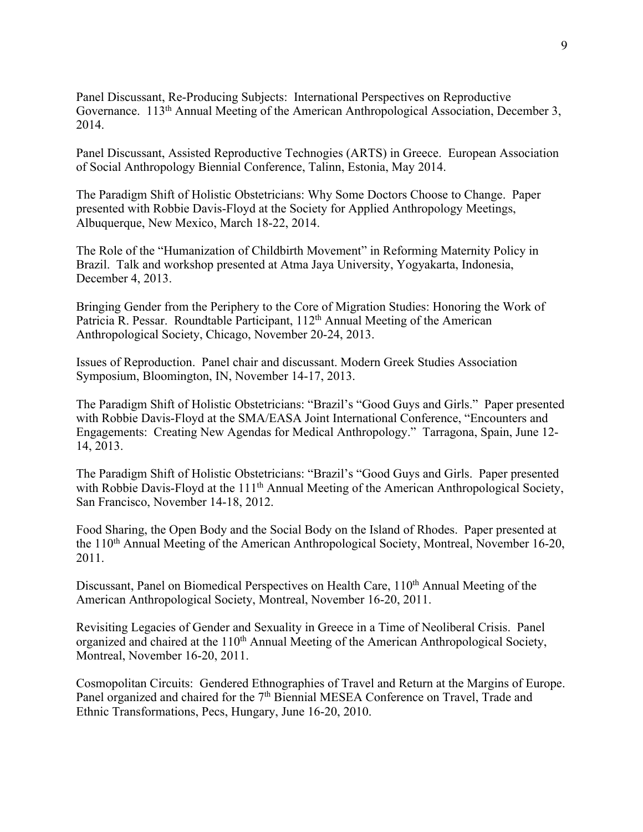Panel Discussant, Re-Producing Subjects: International Perspectives on Reproductive Governance. 113<sup>th</sup> Annual Meeting of the American Anthropological Association, December 3, 2014.

Panel Discussant, Assisted Reproductive Technogies (ARTS) in Greece. European Association of Social Anthropology Biennial Conference, Talinn, Estonia, May 2014.

The Paradigm Shift of Holistic Obstetricians: Why Some Doctors Choose to Change. Paper presented with Robbie Davis-Floyd at the Society for Applied Anthropology Meetings, Albuquerque, New Mexico, March 18-22, 2014.

The Role of the "Humanization of Childbirth Movement" in Reforming Maternity Policy in Brazil. Talk and workshop presented at Atma Jaya University, Yogyakarta, Indonesia, December 4, 2013.

Bringing Gender from the Periphery to the Core of Migration Studies: Honoring the Work of Patricia R. Pessar. Roundtable Participant,  $112<sup>th</sup>$  Annual Meeting of the American Anthropological Society, Chicago, November 20-24, 2013.

Issues of Reproduction. Panel chair and discussant. Modern Greek Studies Association Symposium, Bloomington, IN, November 14-17, 2013.

The Paradigm Shift of Holistic Obstetricians: "Brazil's "Good Guys and Girls." Paper presented with Robbie Davis-Floyd at the SMA/EASA Joint International Conference, "Encounters and Engagements: Creating New Agendas for Medical Anthropology." Tarragona, Spain, June 12- 14, 2013.

 The Paradigm Shift of Holistic Obstetricians: "Brazil's "Good Guys and Girls. Paper presented with Robbie Davis-Floyd at the 111<sup>th</sup> Annual Meeting of the American Anthropological Society, San Francisco, November 14-18, 2012.

Food Sharing, the Open Body and the Social Body on the Island of Rhodes. Paper presented at the 110<sup>th</sup> Annual Meeting of the American Anthropological Society, Montreal, November 16-20, 2011.

Discussant, Panel on Biomedical Perspectives on Health Care, 110<sup>th</sup> Annual Meeting of the American Anthropological Society, Montreal, November 16-20, 2011.

Revisiting Legacies of Gender and Sexuality in Greece in a Time of Neoliberal Crisis. Panel organized and chaired at the 110<sup>th</sup> Annual Meeting of the American Anthropological Society, Montreal, November 16-20, 2011.

Cosmopolitan Circuits: Gendered Ethnographies of Travel and Return at the Margins of Europe. Panel organized and chaired for the  $7<sup>th</sup>$  Biennial MESEA Conference on Travel, Trade and Ethnic Transformations, Pecs, Hungary, June 16-20, 2010.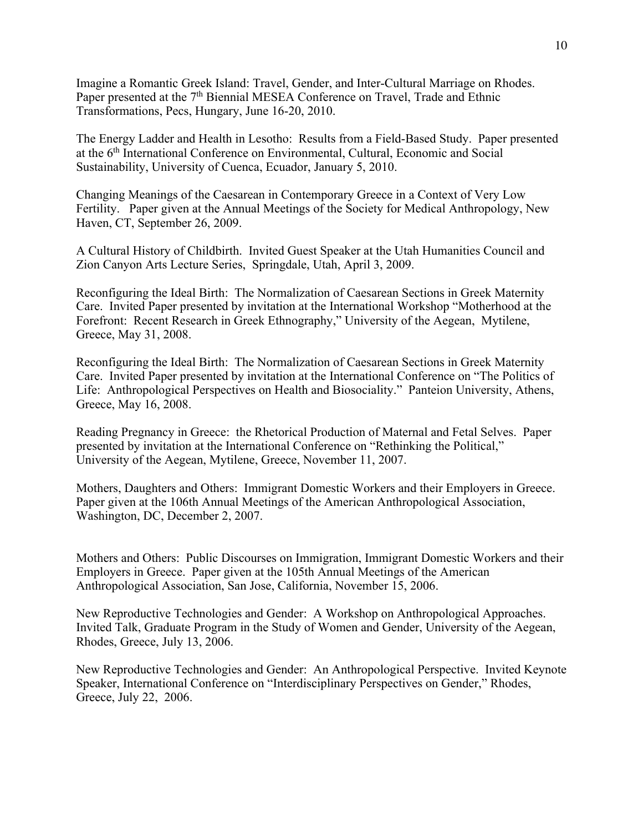Imagine a Romantic Greek Island: Travel, Gender, and Inter-Cultural Marriage on Rhodes. Paper presented at the 7<sup>th</sup> Biennial MESEA Conference on Travel, Trade and Ethnic Transformations, Pecs, Hungary, June 16-20, 2010.

The Energy Ladder and Health in Lesotho: Results from a Field-Based Study. Paper presented at the 6th International Conference on Environmental, Cultural, Economic and Social Sustainability, University of Cuenca, Ecuador, January 5, 2010.

Changing Meanings of the Caesarean in Contemporary Greece in a Context of Very Low Fertility. Paper given at the Annual Meetings of the Society for Medical Anthropology, New Haven, CT, September 26, 2009.

A Cultural History of Childbirth. Invited Guest Speaker at the Utah Humanities Council and Zion Canyon Arts Lecture Series, Springdale, Utah, April 3, 2009.

Reconfiguring the Ideal Birth: The Normalization of Caesarean Sections in Greek Maternity Care. Invited Paper presented by invitation at the International Workshop "Motherhood at the Forefront: Recent Research in Greek Ethnography," University of the Aegean, Mytilene, Greece, May 31, 2008.

Reconfiguring the Ideal Birth: The Normalization of Caesarean Sections in Greek Maternity Care. Invited Paper presented by invitation at the International Conference on "The Politics of Life: Anthropological Perspectives on Health and Biosociality." Panteion University, Athens, Greece, May 16, 2008.

 presented by invitation at the International Conference on "Rethinking the Political," University of the Aegean, Mytilene, Greece, November 11, 2007. Reading Pregnancy in Greece: the Rhetorical Production of Maternal and Fetal Selves. Paper

Mothers, Daughters and Others: Immigrant Domestic Workers and their Employers in Greece. Paper given at the 106th Annual Meetings of the American Anthropological Association, Washington, DC, December 2, 2007.

Mothers and Others: Public Discourses on Immigration, Immigrant Domestic Workers and their Employers in Greece. Paper given at the 105th Annual Meetings of the American Anthropological Association, San Jose, California, November 15, 2006.

New Reproductive Technologies and Gender: A Workshop on Anthropological Approaches. Invited Talk, Graduate Program in the Study of Women and Gender, University of the Aegean, Rhodes, Greece, July 13, 2006.

 New Reproductive Technologies and Gender: An Anthropological Perspective. Invited Keynote Speaker, International Conference on "Interdisciplinary Perspectives on Gender," Rhodes, Greece, July 22, 2006.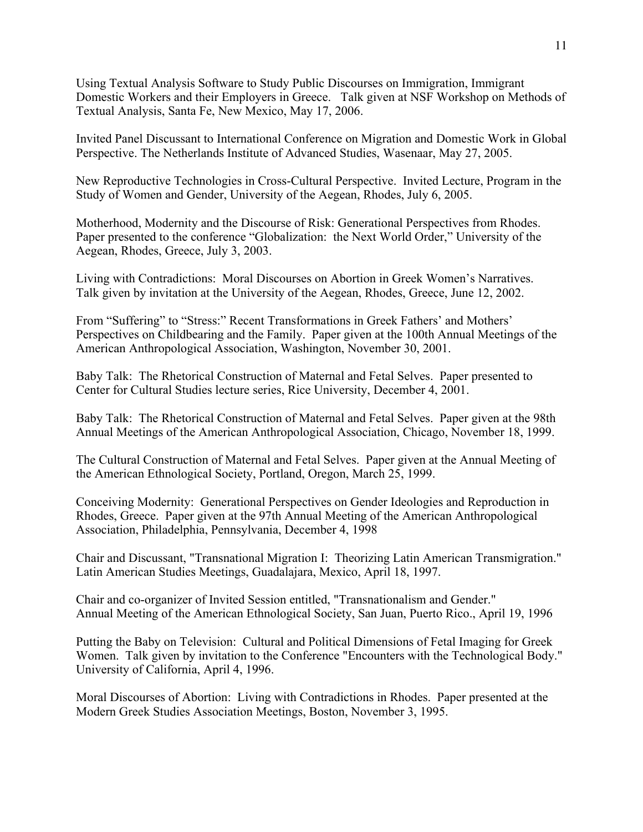Using Textual Analysis Software to Study Public Discourses on Immigration, Immigrant Domestic Workers and their Employers in Greece. Talk given at NSF Workshop on Methods of Textual Analysis, Santa Fe, New Mexico, May 17, 2006.

Invited Panel Discussant to International Conference on Migration and Domestic Work in Global Perspective. The Netherlands Institute of Advanced Studies, Wasenaar, May 27, 2005.

New Reproductive Technologies in Cross-Cultural Perspective. Invited Lecture, Program in the Study of Women and Gender, University of the Aegean, Rhodes, July 6, 2005.

Motherhood, Modernity and the Discourse of Risk: Generational Perspectives from Rhodes. Paper presented to the conference "Globalization: the Next World Order," University of the Aegean, Rhodes, Greece, July 3, 2003.

Living with Contradictions: Moral Discourses on Abortion in Greek Women's Narratives. Talk given by invitation at the University of the Aegean, Rhodes, Greece, June 12, 2002.

From "Suffering" to "Stress:" Recent Transformations in Greek Fathers' and Mothers' Perspectives on Childbearing and the Family. Paper given at the 100th Annual Meetings of the American Anthropological Association, Washington, November 30, 2001.

Baby Talk: The Rhetorical Construction of Maternal and Fetal Selves. Paper presented to Center for Cultural Studies lecture series, Rice University, December 4, 2001.

Baby Talk: The Rhetorical Construction of Maternal and Fetal Selves. Paper given at the 98th Annual Meetings of the American Anthropological Association, Chicago, November 18, 1999.

The Cultural Construction of Maternal and Fetal Selves. Paper given at the Annual Meeting of the American Ethnological Society, Portland, Oregon, March 25, 1999.

Conceiving Modernity: Generational Perspectives on Gender Ideologies and Reproduction in Rhodes, Greece. Paper given at the 97th Annual Meeting of the American Anthropological Association, Philadelphia, Pennsylvania, December 4, 1998

 Latin American Studies Meetings, Guadalajara, Mexico, April 18, 1997. Chair and Discussant, "Transnational Migration I: Theorizing Latin American Transmigration."

Chair and co-organizer of Invited Session entitled, "Transnationalism and Gender." Annual Meeting of the American Ethnological Society, San Juan, Puerto Rico., April 19, 1996

 Women. Talk given by invitation to the Conference "Encounters with the Technological Body." University of California, April 4, 1996. Putting the Baby on Television: Cultural and Political Dimensions of Fetal Imaging for Greek

Moral Discourses of Abortion: Living with Contradictions in Rhodes. Paper presented at the Modern Greek Studies Association Meetings, Boston, November 3, 1995.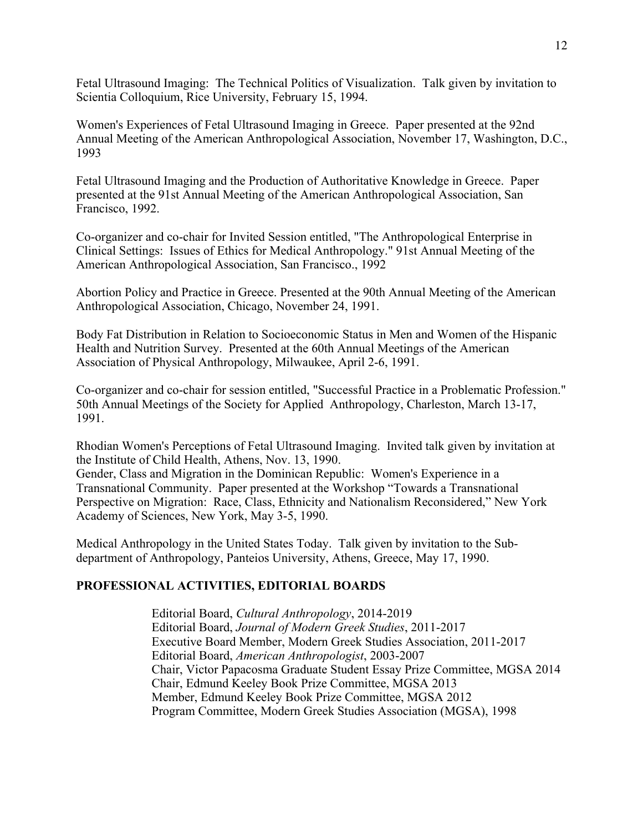Fetal Ultrasound Imaging: The Technical Politics of Visualization. Talk given by invitation to Scientia Colloquium, Rice University, February 15, 1994.

Women's Experiences of Fetal Ultrasound Imaging in Greece. Paper presented at the 92nd Annual Meeting of the American Anthropological Association, November 17, Washington, D.C., 1993

Fetal Ultrasound Imaging and the Production of Authoritative Knowledge in Greece. Paper presented at the 91st Annual Meeting of the American Anthropological Association, San Francisco, 1992.

Co-organizer and co-chair for Invited Session entitled, "The Anthropological Enterprise in Clinical Settings: Issues of Ethics for Medical Anthropology." 91st Annual Meeting of the American Anthropological Association, San Francisco., 1992

Abortion Policy and Practice in Greece. Presented at the 90th Annual Meeting of the American Anthropological Association, Chicago, November 24, 1991.

Body Fat Distribution in Relation to Socioeconomic Status in Men and Women of the Hispanic Health and Nutrition Survey. Presented at the 60th Annual Meetings of the American Association of Physical Anthropology, Milwaukee, April 2-6, 1991.

Co-organizer and co-chair for session entitled, "Successful Practice in a Problematic Profession." 50th Annual Meetings of the Society for Applied Anthropology, Charleston, March 13-17, 1991.

Rhodian Women's Perceptions of Fetal Ultrasound Imaging. Invited talk given by invitation at the Institute of Child Health, Athens, Nov. 13, 1990.

Gender, Class and Migration in the Dominican Republic: Women's Experience in a Transnational Community. Paper presented at the Workshop "Towards a Transnational Perspective on Migration: Race, Class, Ethnicity and Nationalism Reconsidered," New York Academy of Sciences, New York, May 3-5, 1990.

Medical Anthropology in the United States Today. Talk given by invitation to the Subdepartment of Anthropology, Panteios University, Athens, Greece, May 17, 1990.

### **PROFESSIONAL ACTIVITIES, EDITORIAL BOARDS**

 Chair, Victor Papacosma Graduate Student Essay Prize Committee, MGSA 2014 Chair, Edmund Keeley Book Prize Committee, MGSA 2013 Editorial Board, *Cultural Anthropology*, 2014-2019 Editorial Board, *Journal of Modern Greek Studies*, 2011-2017 Executive Board Member, Modern Greek Studies Association, 2011-2017 Editorial Board, *American Anthropologist*, 2003-2007 Member, Edmund Keeley Book Prize Committee, MGSA 2012 Program Committee, Modern Greek Studies Association (MGSA), 1998